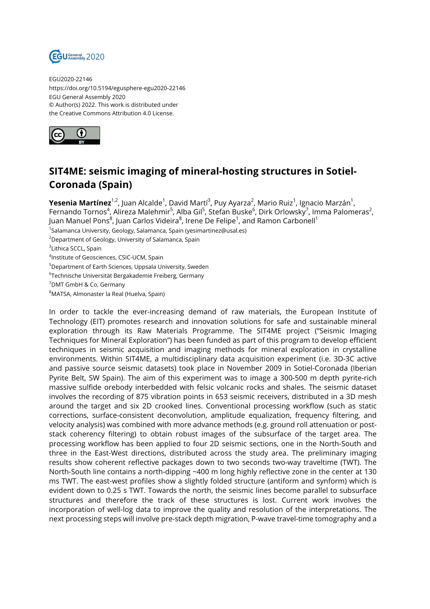

EGU2020-22146 https://doi.org/10.5194/egusphere-egu2020-22146 EGU General Assembly 2020 © Author(s) 2022. This work is distributed under the Creative Commons Attribution 4.0 License.



## **SIT4ME: seismic imaging of mineral-hosting structures in Sotiel-Coronada (Spain)**

**Yesenia Martínez**<sup>1,2</sup>, Juan Alcalde<sup>1</sup>, David Martí<sup>3</sup>, Puy Ayarza<sup>2</sup>, Mario Ruiz<sup>1</sup>, Ignacio Marzán<sup>1</sup>, Fernando Tornos<sup>4</sup>, Alireza Malehmir<sup>5</sup>, Alba Gil<sup>5</sup>, Stefan Buske<sup>6</sup>, Dirk Orlowsky<sup>7</sup>, Imma Palomeras<sup>2</sup>, Juan Manuel Pons<sup>8</sup>, Juan Carlos Videira<sup>8</sup>, Irene De Felipe<sup>1</sup>, and Ramon Carbonell<sup>1</sup>

<sup>1</sup>Salamanca University, Geology, Salamanca, Spain (yesimartinez@usal.es)

<sup>2</sup>Department of Geology, University of Salamanca, Spain

<sup>3</sup>Lithica SCCL, Spain

4 Institute of Geosciences, CSIC-UCM, Spain

<sup>5</sup>Department of Earth Sciences, Uppsala University, Sweden

 $^6$ Technische Universität Bergakademie Freiberg, Germany

<sup>7</sup>DMT GmbH & Co, Germany

<sup>8</sup>MATSA, Almonaster la Real (Huelva, Spain)

In order to tackle the ever-increasing demand of raw materials, the European Institute of Technology (EIT) promotes research and innovation solutions for safe and sustainable mineral exploration through its Raw Materials Programme. The SIT4ME project ("Seismic Imaging Techniques for Mineral Exploration") has been funded as part of this program to develop efficient techniques in seismic acquisition and imaging methods for mineral exploration in crystalline environments. Within SIT4ME, a multidisciplinary data acquisition experiment (i.e. 3D-3C active and passive source seismic datasets) took place in November 2009 in Sotiel-Coronada (Iberian Pyrite Belt, SW Spain). The aim of this experiment was to image a 300-500 m depth pyrite-rich massive sulfide orebody interbedded with felsic volcanic rocks and shales. The seismic dataset involves the recording of 875 vibration points in 653 seismic receivers, distributed in a 3D mesh around the target and six 2D crooked lines. Conventional processing workflow (such as static corrections, surface-consistent deconvolution, amplitude equalization, frequency filtering, and velocity analysis) was combined with more advance methods (e.g. ground roll attenuation or poststack coherency filtering) to obtain robust images of the subsurface of the target area. The processing workflow has been applied to four 2D seismic sections, one in the North-South and three in the East-West directions, distributed across the study area. The preliminary imaging results show coherent reflective packages down to two seconds two-way traveltime (TWT). The North-South line contains a north-dipping ~400 m long highly reflective zone in the center at 130 ms TWT. The east-west profiles show a slightly folded structure (antiform and synform) which is evident down to 0.25 s TWT. Towards the north, the seismic lines become parallel to subsurface structures and therefore the track of these structures is lost. Current work involves the incorporation of well-log data to improve the quality and resolution of the interpretations. The next processing steps will involve pre-stack depth migration, P-wave travel-time tomography and a